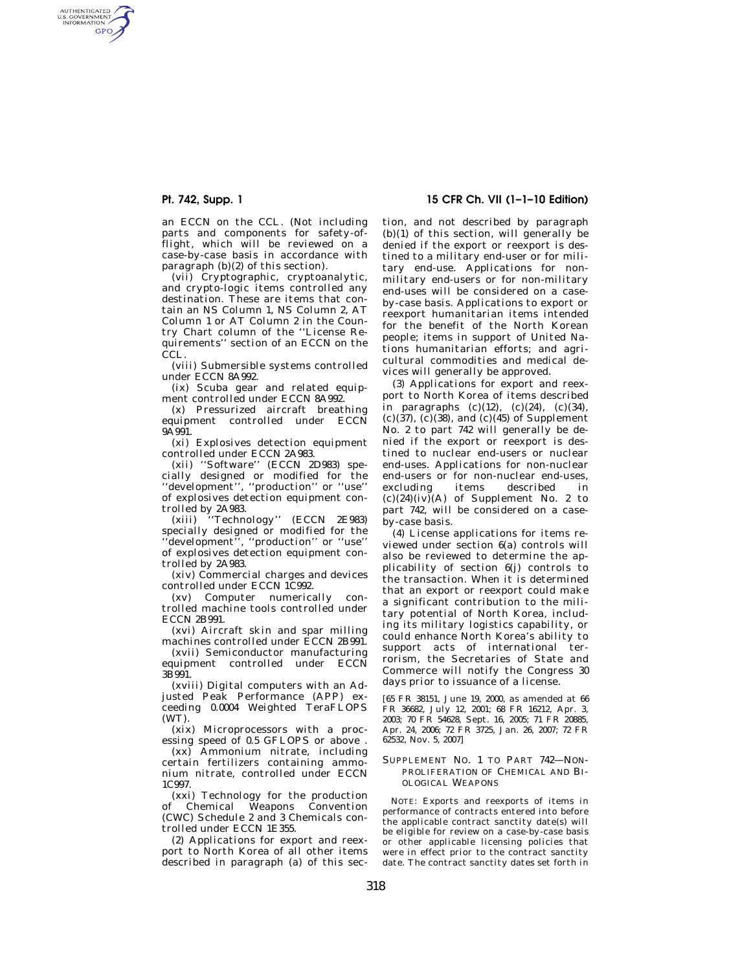AUTHENTICATED<br>U.S. GOVERNMENT<br>INFORMATION GPO

> an ECCN on the CCL. (Not including parts and components for safety-offlight, which will be reviewed on a case-by-case basis in accordance with paragraph (b)(2) of this section).

> (vii) Cryptographic, cryptoanalytic, and crypto-logic items controlled any destination. These are items that contain an NS Column 1, NS Column 2, AT Column 1 or AT Column 2 in the Country Chart column of the ''License Requirements'' section of an ECCN on the CCL.

> (viii) Submersible systems controlled under ECCN 8A992.

> (ix) Scuba gear and related equipment controlled under ECCN 8A992.

> (x) Pressurized aircraft breathing equipment controlled under ECCN 9A991.

> (xi) Explosives detection equipment controlled under ECCN 2A983.

> (xii) ''Software'' (ECCN 2D983) specially designed or modified for the ''development'', ''production'' or ''use'' of explosives detection equipment controlled by 2A983.

> (xiii) ''Technology'' (ECCN 2E983) specially designed or modified for the ''development'', ''production'' or ''use'' of explosives detection equipment controlled by 2A983.

> (xiv) Commercial charges and devices controlled under ECCN 1C992.

(xv) Computer numerically controlled machine tools controlled under ECCN 2B991.

(xvi) Aircraft skin and spar milling machines controlled under ECCN 2B991.

(xvii) Semiconductor manufacturing equipment controlled under ECCN 3B991.

(xviii) Digital computers with an Adjusted Peak Performance (APP) exceeding 0.0004 Weighted TeraFLOPS  $(WT)$ 

(xix) Microprocessors with a processing speed of 0.5 GFLOPS or above .

 $(xx)$  Ammonium nitrate, including certain fertilizers containing ammonium nitrate, controlled under ECCN 1C997.

(xxi) Technology for the production of Chemical Weapons Convention (CWC) Schedule 2 and 3 Chemicals controlled under ECCN 1E355.

(2) Applications for export and reexport to North Korea of all other items described in paragraph (a) of this sec-

**Pt. 742, Supp. 1 15 CFR Ch. VII (1–1–10 Edition)** 

tion, and not described by paragraph (b)(1) of this section, will generally be denied if the export or reexport is destined to a military end-user or for military end-use. Applications for nonmilitary end-users or for non-military end-uses will be considered on a caseby-case basis. Applications to export or reexport humanitarian items intended for the benefit of the North Korean people; items in support of United Nations humanitarian efforts; and agricultural commodities and medical devices will generally be approved.

(3) Applications for export and reexport to North Korea of items described in paragraphs  $(c)(12)$ ,  $(c)(24)$ ,  $(c)(34)$ , (c)(37), (c)(38), and (c)(45) of Supplement No. 2 to part 742 will generally be denied if the export or reexport is destined to nuclear end-users or nuclear end-uses. Applications for non-nuclear end-users or for non-nuclear end-uses, excluding items described in  $(c)(24)(iv)(A)$  of Supplement No. 2 to part 742, will be considered on a caseby-case basis.

(4) License applications for items reviewed under section 6(a) controls will also be reviewed to determine the applicability of section 6(j) controls to the transaction. When it is determined that an export or reexport could make a significant contribution to the military potential of North Korea, including its military logistics capability, or could enhance North Korea's ability to support acts of international terrorism, the Secretaries of State and Commerce will notify the Congress 30 days prior to issuance of a license.

[65 FR 38151, June 19, 2000, as amended at 66 FR 36682, July 12, 2001; 68 FR 16212, Apr. 3, 2003; 70 FR 54628, Sept. 16, 2005; 71 FR 20885, Apr. 24, 2006; 72 FR 3725, Jan. 26, 2007; 72 FR 62532, Nov. 5, 2007]

## SUPPLEMENT NO. 1 TO PART 742—NON-PROLIFERATION OF CHEMICAL AND BI-OLOGICAL WEAPONS

NOTE: Exports and reexports of items in performance of contracts entered into before .<br>the applicable contract sanctity date(s) will be eligible for review on a case-by-case basis or other applicable licensing policies that were in effect prior to the contract sanctity date. The contract sanctity dates set forth in